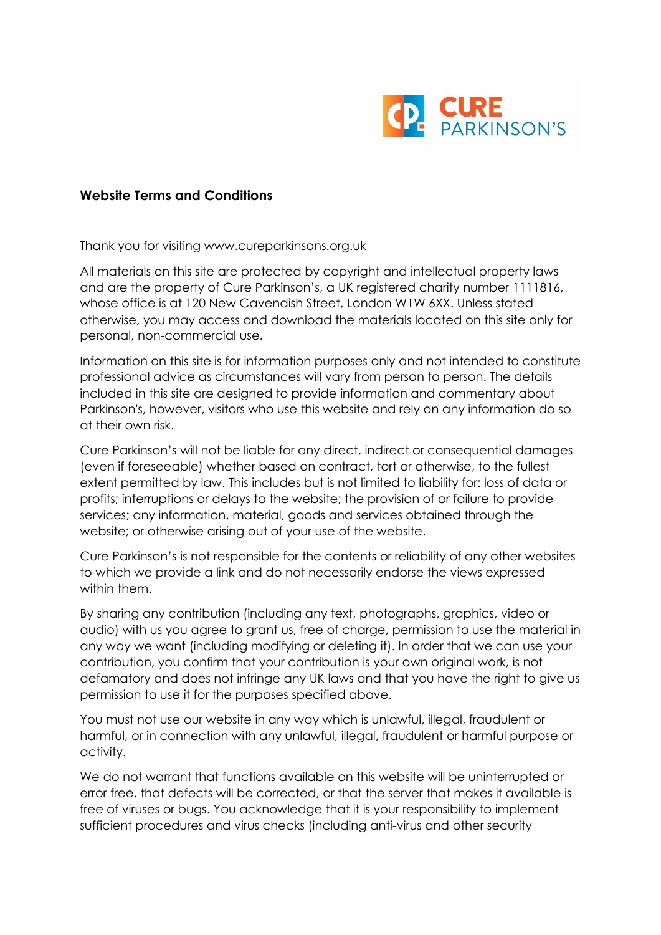

#### **Website Terms and Conditions**

Thank you for visiting www.cureparkinsons.org.uk

All materials on this site are protected by copyright and intellectual property laws and are the property of Cure Parkinson's, a UK registered charity number 1111816, whose office is at 120 New Cavendish Street, London W1W 6XX. Unless stated otherwise, you may access and download the materials located on this site only for personal, non-commercial use.

Information on this site is for information purposes only and not intended to constitute professional advice as circumstances will vary from person to person. The details included in this site are designed to provide information and commentary about Parkinson's, however, visitors who use this website and rely on any information do so at their own risk.

Cure Parkinson's will not be liable for any direct, indirect or consequential damages (even if foreseeable) whether based on contract, tort or otherwise, to the fullest extent permitted by law. This includes but is not limited to liability for: loss of data or profits; interruptions or delays to the website; the provision of or failure to provide services; any information, material, goods and services obtained through the website; or otherwise arising out of your use of the website.

Cure Parkinson's is not responsible for the contents or reliability of any other websites to which we provide a link and do not necessarily endorse the views expressed within them.

By sharing any contribution (including any text, photographs, graphics, video or audio) with us you agree to grant us, free of charge, permission to use the material in any way we want (including modifying or deleting it). In order that we can use your contribution, you confirm that your contribution is your own original work, is not defamatory and does not infringe any UK laws and that you have the right to give us permission to use it for the purposes specified above.

You must not use our website in any way which is unlawful, illegal, fraudulent or harmful, or in connection with any unlawful, illegal, fraudulent or harmful purpose or activity.

We do not warrant that functions available on this website will be uninterrupted or error free, that defects will be corrected, or that the server that makes it available is free of viruses or bugs. You acknowledge that it is your responsibility to implement sufficient procedures and virus checks (including anti-virus and other security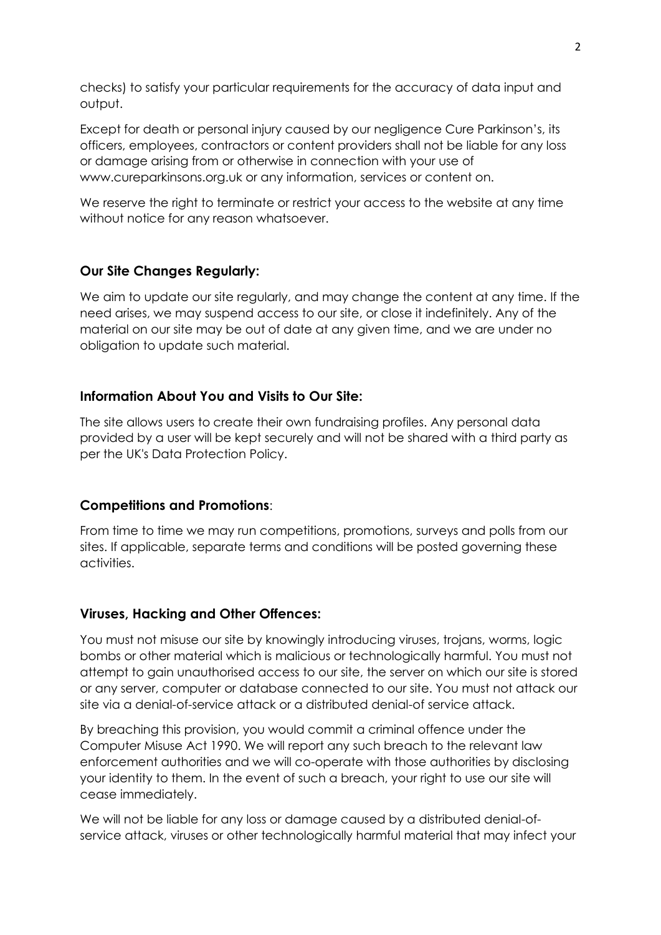checks) to satisfy your particular requirements for the accuracy of data input and output.

Except for death or personal injury caused by our negligence Cure Parkinson's, its officers, employees, contractors or content providers shall not be liable for any loss or damage arising from or otherwise in connection with your use of www.cureparkinsons.org.uk or any information, services or content on.

We reserve the right to terminate or restrict your access to the website at any time without notice for any reason whatsoever.

# **Our Site Changes Regularly:**

We aim to update our site regularly, and may change the content at any time. If the need arises, we may suspend access to our site, or close it indefinitely. Any of the material on our site may be out of date at any given time, and we are under no obligation to update such material.

#### **Information About You and Visits to Our Site:**

The site allows users to create their own fundraising profiles. Any personal data provided by a user will be kept securely and will not be shared with a third party as per the UK's Data Protection Policy.

#### **Competitions and Promotions**:

From time to time we may run competitions, promotions, surveys and polls from our sites. If applicable, separate terms and conditions will be posted governing these activities.

#### **Viruses, Hacking and Other Offences:**

You must not misuse our site by knowingly introducing viruses, trojans, worms, logic bombs or other material which is malicious or technologically harmful. You must not attempt to gain unauthorised access to our site, the server on which our site is stored or any server, computer or database connected to our site. You must not attack our site via a denial-of-service attack or a distributed denial-of service attack.

By breaching this provision, you would commit a criminal offence under the Computer Misuse Act 1990. We will report any such breach to the relevant law enforcement authorities and we will co-operate with those authorities by disclosing your identity to them. In the event of such a breach, your right to use our site will cease immediately.

We will not be liable for any loss or damage caused by a distributed denial-ofservice attack, viruses or other technologically harmful material that may infect your